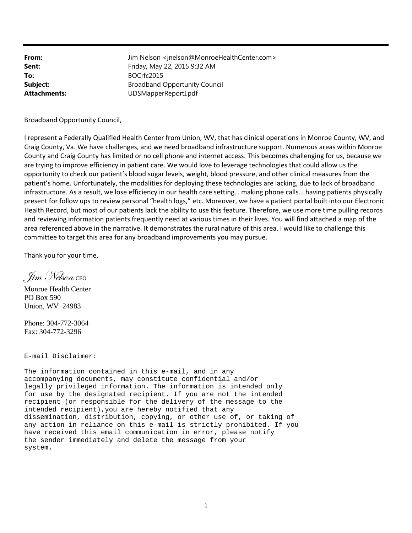**From:** Jim Nelson <jnelson@MonroeHealthCenter.com> **Sent:** Friday, May 22, 2015 9:32 AM To: BOCrfc2015 **Subject:** Broadband Opportunity Council **Attachments:** UDSMapperReportI.pdf

Broadband Opportunity Council,

I represent a Federally Qualified Health Center from Union, WV, that has clinical operations in Monroe County, WV, and Craig County, Va. We have challenges, and we need broadband infrastructure support. Numerous areas within Monroe County and Craig County has limited or no cell phone and internet access. This becomes challenging for us, because we are trying to improve efficiency in patient care. We would love to leverage technologies that could allow us the opportunity to check our patient's blood sugar levels, weight, blood pressure, and other clinical measures from the patient's home. Unfortunately, the modalities for deploying these technologies are lacking, due to lack of broadband infrastructure. As a result, we lose efficiency in our health care setting… making phone calls… having patients physically present for follow ups to review personal "health logs," etc. Moreover, we have a patient portal built into our Electronic Health Record, but most of our patients lack the ability to use this feature. Therefore, we use more time pulling records and reviewing information patients frequently need at various times in their lives. You will find attached a map of the area referenced above in the narrative. It demonstrates the rural nature of this area. I would like to challenge this committee to target this area for any broadband improvements you may pursue.

Thank you for your time,

. Jim Nelson, ceo

Monroe Health Center PO Box 590 Union, WV 24983

Phone: 304-772-3064 Fax: 304-772-3296

E-mail Disclaimer:

The information contained in this e-mail, and in any accompanying documents, may constitute confidential and/or legally privileged information. The information is intended only for use by the designated recipient. If you are not the intended recipient (or responsible for the delivery of the message to the intended recipient),you are hereby notified that any dissemination, distribution, copying, or other use of, or taking of any action in reliance on this e-mail is strictly prohibited. If you have received this email communication in error, please notify the sender immediately and delete the message from your system.